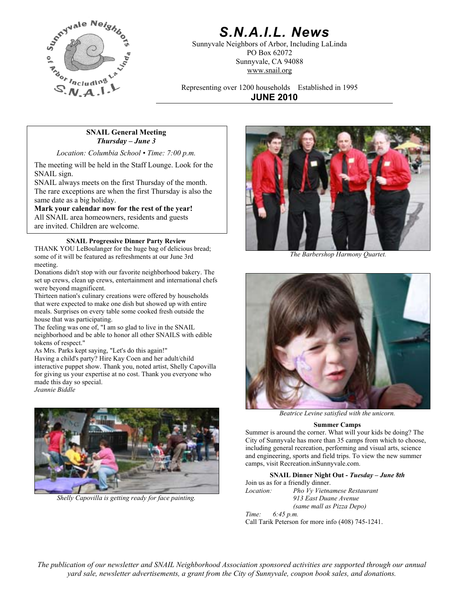

# *S.N.A.I.L. News*

Sunnyvale Neighbors of Arbor, Including LaLinda PO Box 62072 Sunnyvale, CA 94088 www.snail.org

Representing over 1200 households Established in 1995 **JUNE 2010**

# **SNAIL General Meeting**  *Thursday – June 3*

*Location: Columbia School • Time: 7:00 p.m.*

The meeting will be held in the Staff Lounge. Look for the SNAIL sign.

SNAIL always meets on the first Thursday of the month. The rare exceptions are when the first Thursday is also the same date as a big holiday.

**Mark your calendar now for the rest of the year!**

All SNAIL area homeowners, residents and guests are invited. Children are welcome.

# **SNAIL Progressive Dinner Party Review**

THANK YOU LeBoulanger for the huge bag of delicious bread; some of it will be featured as refreshments at our June 3rd meeting.

Donations didn't stop with our favorite neighborhood bakery. The set up crews, clean up crews, entertainment and international chefs were beyond magnificent.

Thirteen nation's culinary creations were offered by households that were expected to make one dish but showed up with entire meals. Surprises on every table some cooked fresh outside the house that was participating.

The feeling was one of, "I am so glad to live in the SNAIL neighborhood and be able to honor all other SNAILS with edible tokens of respect."

As Mrs. Parks kept saying, "Let's do this again!"

Having a child's party? Hire Kay Coen and her adult/child interactive puppet show. Thank you, noted artist, Shelly Capovilla for giving us your expertise at no cost. Thank you everyone who made this day so special. *Jeannie Biddle* 



*Shelly Capovilla is getting ready for face painting.* 



 *The Barbershop Harmony Quartet.* 



*Beatrice Levine satisfied with the unicorn.* 

#### **Summer Camps**

Summer is around the corner. What will your kids be doing? The City of Sunnyvale has more than 35 camps from which to choose, including general recreation, performing and visual arts, science and engineering, sports and field trips. To view the new summer camps, visit Recreation.inSunnyvale.com.

**SNAIL Dinner Night Out -** *Tuesday – June 8th* Join us as for a friendly dinner.

*Location: Pho Vy Vietnamese Restaurant 913 East Duane Avenue (same mall as Pizza Depo)*

*Time: 6:45 p.m.* Call Tarik Peterson for more info (408) 745-1241.

*The publication of our newsletter and SNAIL Neighborhood Association sponsored activities are supported through our annual yard sale, newsletter advertisements, a grant from the City of Sunnyvale, coupon book sales, and donations.*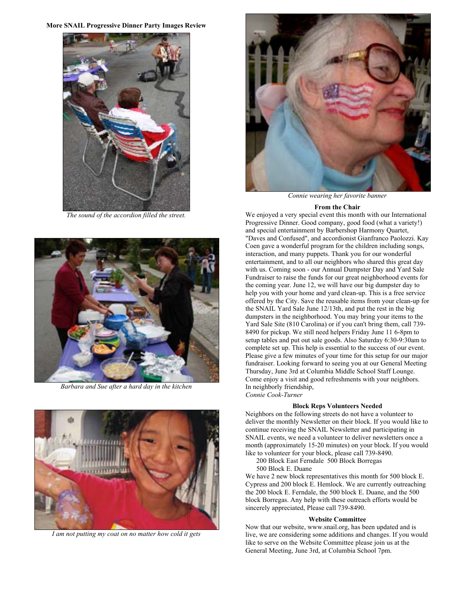### **More SNAIL Progressive Dinner Party Images Review**



*The sound of the accordion filled the street.* 



*Barbara and Sue after a hard day in the kitchen* In neighborly friendship,



*I am not putting my coat on no matter how cold it gets* 



*Connie wearing her favorite banner* 

#### **From the Chair**

We enjoyed a very special event this month with our International Progressive Dinner. Good company, good food (what a variety!) and special entertainment by Barbershop Harmony Quartet, "Daves and Confused", and accordionist Gianfranco Paolozzi. Kay Coen gave a wonderful program for the children including songs, interaction, and many puppets. Thank you for our wonderful entertainment, and to all our neighbors who shared this great day with us. Coming soon - our Annual Dumpster Day and Yard Sale Fundraiser to raise the funds for our great neighborhood events for the coming year. June 12, we will have our big dumpster day to help you with your home and yard clean-up. This is a free service offered by the City. Save the reusable items from your clean-up for the SNAIL Yard Sale June 12/13th, and put the rest in the big dumpsters in the neighborhood. You may bring your items to the Yard Sale Site (810 Carolina) or if you can't bring them, call 739- 8490 for pickup. We still need helpers Friday June 11 6-8pm to setup tables and put out sale goods. Also Saturday 6:30-9:30am to complete set up. This help is essential to the success of our event. Please give a few minutes of your time for this setup for our major fundraiser. Looking forward to seeing you at our General Meeting Thursday, June 3rd at Columbia Middle School Staff Lounge. Come enjoy a visit and good refreshments with your neighbors. *Connie Cook-Turner*

#### **Block Reps Volunteers Needed**

Neighbors on the following streets do not have a volunteer to deliver the monthly Newsletter on their block. If you would like to continue receiving the SNAIL Newsletter and participating in SNAIL events, we need a volunteer to deliver newsletters once a month (approximately 15-20 minutes) on your block. If you would like to volunteer for your block, please call 739-8490.

200 Block East Ferndale 500 Block Borregas 500 Block E. Duane

We have 2 new block representatives this month for 500 block E. Cypress and 200 block E. Hemlock. We are currently outreaching the 200 block E. Ferndale, the 500 block E. Duane, and the 500 block Borregas. Any help with these outreach efforts would be sincerely appreciated, Please call 739-8490.

#### **Website Committee**

Now that our website, www.snail.org, has been updated and is live, we are considering some additions and changes. If you would like to serve on the Website Committee please join us at the General Meeting, June 3rd, at Columbia School 7pm.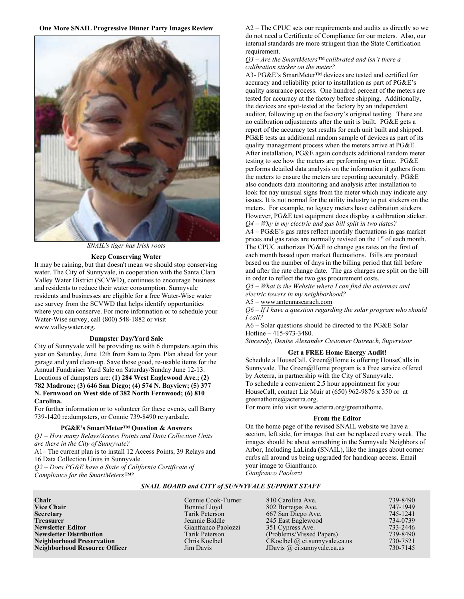**One More SNAIL Progressive Dinner Party Images Review**



*SNAIL's tiger has Irish roots* 

### **Keep Conserving Water**

It may be raining, but that doesn't mean we should stop conserving water. The City of Sunnyvale, in cooperation with the Santa Clara Valley Water District (SCVWD), continues to encourage business and residents to reduce their water consumption. Sunnyvale residents and businesses are eligible for a free Water-Wise water use survey from the SCVWD that helps identify opportunities where you can conserve. For more information or to schedule your Water-Wise survey, call (800) 548-1882 or visit www.valleywater.org.

**Dumpster Day/Yard Sale** *Sincerely, Denise Alexander Customer Outreach, Supervisor City of Sunnyvale will be providing us with 6 dumpsters again this Sincerely, Denise Alexander Customer Outreach, Supervisor* year on Saturday, June 12th from 8am to 2pm. Plan ahead for your garage and yard clean-up. Save those good, re-usable items for the Annual Fundraiser Yard Sale on Saturday/Sunday June 12-13. Locations of dumpsters are: (1) 284 West Eaglewood Ave.; (2) <sup>by</sup> Acterra, in partnership with the City of Sunnyvale. **782 Madrone; (3) 646 San Diego; (4) 574 N. Bayview; (5) 377 N. Fernwood on West side of 382 North Fernwood; (6) 810 Carolina.**

For further information or to volunteer for these events, call Barry For more info visit www.acterra.org/greenathome. 739-1420 re:dumpsters, or Connie 739-8490 re:yardsale. **From the Editor** 

## **PG&E's SmartMeter™ Question & Answers**

*Q1 – How many Relays/Access Points and Data Collection Units are there in the City of Sunnyvale?* 

A1– The current plan is to install 12 Access Points, 39 Relays and 16 Data Collection Units in Sunnyvale.

*Q2 – Does PG&E have a State of California Certificate of Compliance for the SmartMeters™? Gianfranco Paolozzi* 

A2 – The CPUC sets our requirements and audits us directly so we do not need a Certificate of Compliance for our meters. Also, our internal standards are more stringent than the State Certification requirement.

#### *Q3 – Are the SmartMeters™ calibrated and isn't there a calibration sticker on the meter?*

A3- PG&E's SmartMeter™ devices are tested and certified for accuracy and reliability prior to installation as part of PG&E's quality assurance process. One hundred percent of the meters are tested for accuracy at the factory before shipping. Additionally, the devices are spot-tested at the factory by an independent auditor, following up on the factory's original testing. There are no calibration adjustments after the unit is built. PG&E gets a report of the accuracy test results for each unit built and shipped. PG&E tests an additional random sample of devices as part of its quality management process when the meters arrive at PG&E. After installation, PG&E again conducts additional random meter testing to see how the meters are performing over time. PG&E performs detailed data analysis on the information it gathers from the meters to ensure the meters are reporting accurately. PG&E also conducts data monitoring and analysis after installation to look for nay unusual signs from the meter which may indicate any issues. It is not normal for the utility industry to put stickers on the meters. For example, no legacy meters have calibration stickers. However, PG&E test equipment does display a calibration sticker. *Q4 – Why is my electric and gas bill split in two dates?* 

A4 – PG&E's gas rates reflect monthly fluctuations in gas market prices and gas rates are normally revised on the  $1<sup>st</sup>$  of each month. The CPUC authorizes PG&E to change gas rates on the first of each month based upon market fluctuations. Bills are prorated based on the number of days in the billing period that fall before and after the rate change date. The gas charges are split on the bill in order to reflect the two gas procurement costs.

*Q5 – What is the Website where I can find the antennas and electric towers in my neighborhood?* 

A5 – [www.antennasearach.com](http://www.antennasearach.com/)

*Q6 – If I have a question regarding the solar program who should I call?* 

A6 – Solar questions should be directed to the PG&E Solar Hotline – 415-973-3480.

### **Get a FREE Home Energy Audit!**

Schedule a HouseCall. Green@Home is offering HouseCalls in Sunnyvale. The Green@Home program is a Free service offered To schedule a convenient 2.5 hour appointment for your HouseCall, contact Liz Muir at (650) 962-9876 x 350 or at greenathome@acterra.org.

On the home page of the revised SNAIL website we have a section, left side, for images that can be replaced every week. The images should be about something in the Sunnyvale Neighbors of Arbor, Including LaLinda (SNAIL), like the images about corner curbs all around us being upgraded for handicap access. Email your image to Gianfranco.

#### *SNAIL BOARD and CITY of SUNNYVALE SUPPORT STAFF*

| <b>Chair</b><br>739-8490<br>Connie Cook-Turner<br>810 Carolina Ave.                              |  |
|--------------------------------------------------------------------------------------------------|--|
| <b>Vice Chair</b><br>747-1949<br>Bonnie Lloyd<br>802 Borregas Ave.                               |  |
| Secretary<br>745-1241<br>Tarik Peterson<br>667 San Diego Ave.                                    |  |
| 734-0739<br>Treasurer<br>Jeannie Biddle<br>245 East Eaglewood                                    |  |
| Newsletter Editor<br>733-2446<br>Gianfranco Paolozzi<br>351 Cypress Ave.                         |  |
| 739-8490<br><b>Newsletter Distribution</b><br>(Problems/Missed Papers)<br>Tarik Peterson         |  |
| <b>Neighborhood Preservation</b><br>$CKoelbel$ @ ci.sunnyvale.ca.us<br>Chris Koelbel<br>730-7521 |  |
| Neighborhood Resource Officer<br>730-7145<br>JDavis $\omega$ ci. sunnyvale ca.us<br>Jim Davis    |  |